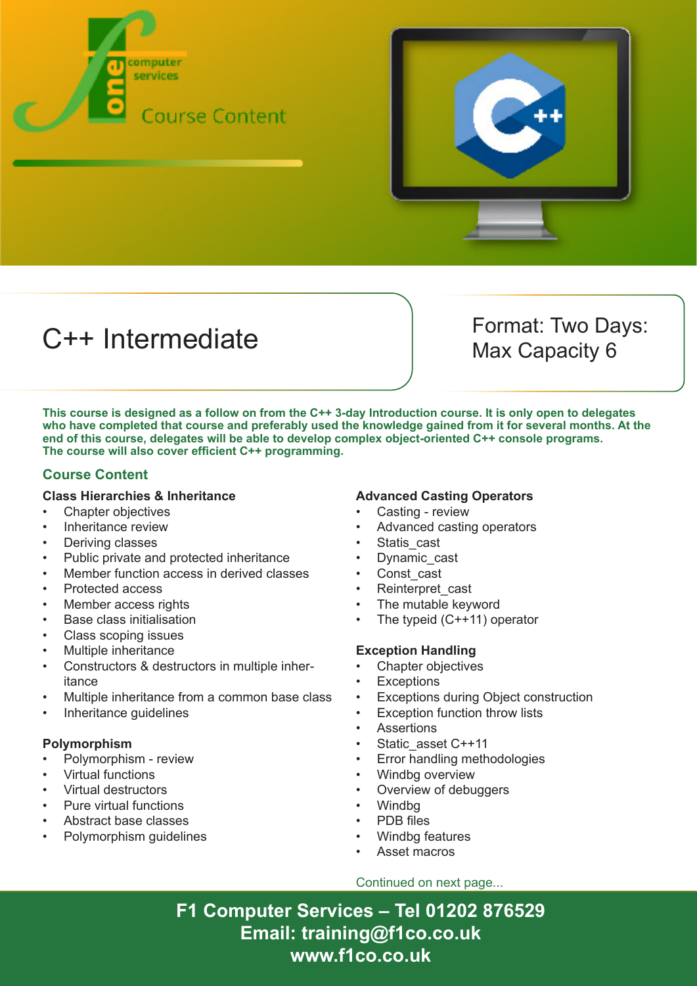



# C++ Intermediate Format: Two Days:

Max Capacity 6

**This course is designed as a follow on from the C++ 3-day Introduction course. It is only open to delegates who have completed that course and preferably used the knowledge gained from it for several months. At the end of this course, delegates will be able to develop complex object-oriented C++ console programs. The course will also cover efficient C++ programming.**

#### **Course Content**

#### **Class Hierarchies & Inheritance**

- Chapter objectives
- Inheritance review
- Deriving classes
- Public private and protected inheritance
- Member function access in derived classes
- Protected access
- Member access rights
- Base class initialisation
- Class scoping issues
- Multiple inheritance
- Constructors & destructors in multiple inheritance
- Multiple inheritance from a common base class
- Inheritance quidelines

#### **Polymorphism**

- Polymorphism review
- Virtual functions
- Virtual destructors
- Pure virtual functions
- Abstract base classes
- Polymorphism guidelines

#### **Advanced Casting Operators**

- Casting review
- Advanced casting operators
- Statis cast
- Dynamic\_cast
- Const\_cast
- Reinterpret\_cast
- The mutable keyword
- The typeid  $(C++11)$  operator

#### **Exception Handling**

- Chapter objectives
- **Exceptions**
- Exceptions during Object construction
- **Exception function throw lists**
- **Assertions**
- Static\_asset C++11
- Error handling methodologies
- Windbg overview
- Overview of debuggers
- Windbg
- PDB files
- Windbg features
- Asset macros

#### Continued on next page...

**F1 Computer Services – Tel 01202 876529 Email: training@f1co.co.uk www.f1co.co.uk**